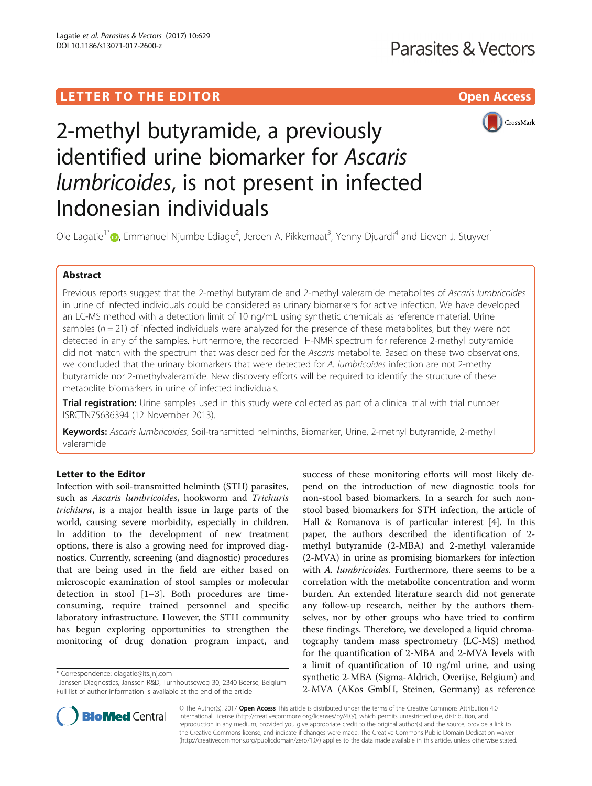# LETTER TO THE EDITOR **CONSIDERATION** CONSIDERING THE STATE AND THE STATE ASSAULT AND THE STATE ASSAULT ASSAULT AS



# 2-methyl butyramide, a previously identified urine biomarker for Ascaris lumbricoides, is not present in infected Indonesian individuals

Ole Lagatie<sup>1\*</sup>�[,](http://orcid.org/0000-0002-0638-1313) Emmanuel Njumbe Ediage<sup>2</sup>, Jeroen A. Pikkemaat<sup>3</sup>, Yenny Djuardi<sup>4</sup> and Lieven J. Stuyver<sup>1</sup>

# Abstract

Previous reports suggest that the 2-methyl butyramide and 2-methyl valeramide metabolites of Ascaris lumbricoides in urine of infected individuals could be considered as urinary biomarkers for active infection. We have developed an LC-MS method with a detection limit of 10 ng/mL using synthetic chemicals as reference material. Urine samples ( $n = 21$ ) of infected individuals were analyzed for the presence of these metabolites, but they were not detected in any of the samples. Furthermore, the recorded <sup>1</sup>H-NMR spectrum for reference 2-methyl butyramide did not match with the spectrum that was described for the Ascaris metabolite. Based on these two observations, we concluded that the urinary biomarkers that were detected for A. lumbricoides infection are not 2-methyl butyramide nor 2-methylvaleramide. New discovery efforts will be required to identify the structure of these metabolite biomarkers in urine of infected individuals.

Trial registration: Urine samples used in this study were collected as part of a clinical trial with trial number [ISRCTN75636394](http://www.isrctn.com/ISRCTN75636394) (12 November 2013).

Keywords: Ascaris lumbricoides, Soil-transmitted helminths, Biomarker, Urine, 2-methyl butyramide, 2-methyl valeramide

# Letter to the Editor

Infection with soil-transmitted helminth (STH) parasites, such as Ascaris lumbricoides, hookworm and Trichuris trichiura, is a major health issue in large parts of the world, causing severe morbidity, especially in children. In addition to the development of new treatment options, there is also a growing need for improved diagnostics. Currently, screening (and diagnostic) procedures that are being used in the field are either based on microscopic examination of stool samples or molecular detection in stool [[1](#page-2-0)–[3\]](#page-2-0). Both procedures are timeconsuming, require trained personnel and specific laboratory infrastructure. However, the STH community has begun exploring opportunities to strengthen the monitoring of drug donation program impact, and

\* Correspondence: [olagatie@its.jnj.com](mailto:olagatie@its.jnj.com) <sup>1</sup>

success of these monitoring efforts will most likely depend on the introduction of new diagnostic tools for non-stool based biomarkers. In a search for such nonstool based biomarkers for STH infection, the article of Hall & Romanova is of particular interest [[4\]](#page-2-0). In this paper, the authors described the identification of 2 methyl butyramide (2-MBA) and 2-methyl valeramide (2-MVA) in urine as promising biomarkers for infection with A. lumbricoides. Furthermore, there seems to be a correlation with the metabolite concentration and worm burden. An extended literature search did not generate any follow-up research, neither by the authors themselves, nor by other groups who have tried to confirm these findings. Therefore, we developed a liquid chromatography tandem mass spectrometry (LC-MS) method for the quantification of 2-MBA and 2-MVA levels with a limit of quantification of 10 ng/ml urine, and using synthetic 2-MBA (Sigma-Aldrich, Overijse, Belgium) and 2-MVA (AKos GmbH, Steinen, Germany) as reference



© The Author(s). 2017 Open Access This article is distributed under the terms of the Creative Commons Attribution 4.0 International License [\(http://creativecommons.org/licenses/by/4.0/](http://creativecommons.org/licenses/by/4.0/)), which permits unrestricted use, distribution, and reproduction in any medium, provided you give appropriate credit to the original author(s) and the source, provide a link to the Creative Commons license, and indicate if changes were made. The Creative Commons Public Domain Dedication waiver [\(http://creativecommons.org/publicdomain/zero/1.0/](http://creativecommons.org/publicdomain/zero/1.0/)) applies to the data made available in this article, unless otherwise stated.

<sup>&</sup>lt;sup>1</sup> Janssen Diagnostics, Janssen R&D, Turnhoutseweg 30, 2340 Beerse, Belgium Full list of author information is available at the end of the article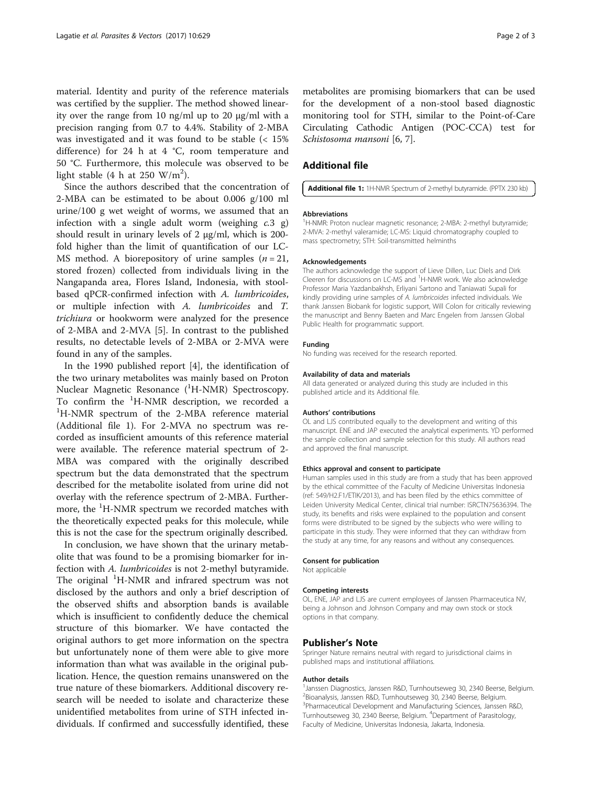material. Identity and purity of the reference materials was certified by the supplier. The method showed linearity over the range from 10 ng/ml up to 20 μg/ml with a precision ranging from 0.7 to 4.4%. Stability of 2-MBA was investigated and it was found to be stable (< 15% difference) for 24 h at 4 °C, room temperature and 50 °C. Furthermore, this molecule was observed to be light stable (4 h at 250  $\text{W/m}^2$ ).

Since the authors described that the concentration of 2-MBA can be estimated to be about 0.006 g/100 ml urine/100 g wet weight of worms, we assumed that an infection with a single adult worm (weighing  $c.3$  g) should result in urinary levels of 2 μg/ml, which is 200 fold higher than the limit of quantification of our LC-MS method. A biorepository of urine samples  $(n = 21)$ , stored frozen) collected from individuals living in the Nangapanda area, Flores Island, Indonesia, with stoolbased qPCR-confirmed infection with A. lumbricoides, or multiple infection with A. lumbricoides and T. trichiura or hookworm were analyzed for the presence of 2-MBA and 2-MVA [[5\]](#page-2-0). In contrast to the published results, no detectable levels of 2-MBA or 2-MVA were found in any of the samples.

In the 1990 published report [[4\]](#page-2-0), the identification of the two urinary metabolites was mainly based on Proton Nuclear Magnetic Resonance (<sup>1</sup>H-NMR) Spectroscopy. To confirm the  ${}^{1}H$ -NMR description, we recorded a  ${}^{1}H$ -NMP spectrum of the 2 MRA reference material <sup>1</sup>H-NMR spectrum of the 2-MBA reference material (Additional file 1). For 2-MVA no spectrum was recorded as insufficient amounts of this reference material were available. The reference material spectrum of 2- MBA was compared with the originally described spectrum but the data demonstrated that the spectrum described for the metabolite isolated from urine did not overlay with the reference spectrum of 2-MBA. Furthermore, the <sup>1</sup>H-NMR spectrum we recorded matches with the theoretically expected peaks for this molecule, while this is not the case for the spectrum originally described.

In conclusion, we have shown that the urinary metabolite that was found to be a promising biomarker for infection with A. lumbricoides is not 2-methyl butyramide. The original <sup>1</sup>H-NMR and infrared spectrum was not disclosed by the authors and only a brief description of the observed shifts and absorption bands is available which is insufficient to confidently deduce the chemical structure of this biomarker. We have contacted the original authors to get more information on the spectra but unfortunately none of them were able to give more information than what was available in the original publication. Hence, the question remains unanswered on the true nature of these biomarkers. Additional discovery research will be needed to isolate and characterize these unidentified metabolites from urine of STH infected individuals. If confirmed and successfully identified, these

metabolites are promising biomarkers that can be used for the development of a non-stool based diagnostic monitoring tool for STH, similar to the Point-of-Care Circulating Cathodic Antigen (POC-CCA) test for Schistosoma mansoni [[6, 7\]](#page-2-0).

# Additional file

[Additional file 1:](dx.doi.org/10.1186/s13071-017-2600-z) 1H-NMR Spectrum of 2-methyl butyramide. (PPTX 230 kb)

#### Abbreviations

<sup>1</sup>H-NMR: Proton nuclear magnetic resonance; 2-MBA: 2-methyl butyramide 2-MVA: 2-methyl valeramide; LC-MS: Liquid chromatography coupled to mass spectrometry; STH: Soil-transmitted helminths

#### Acknowledgements

The authors acknowledge the support of Lieve Dillen, Luc Diels and Dirk Cleeren for discussions on LC-MS and <sup>1</sup>H-NMR work. We also acknowledge Professor Maria Yazdanbakhsh, Erliyani Sartono and Taniawati Supali for kindly providing urine samples of A. lumbricoides infected individuals. We thank Janssen Biobank for logistic support, Will Colon for critically reviewing the manuscript and Benny Baeten and Marc Engelen from Janssen Global Public Health for programmatic support.

## Funding

No funding was received for the research reported.

#### Availability of data and materials

All data generated or analyzed during this study are included in this published article and its Additional file.

#### Authors' contributions

OL and LJS contributed equally to the development and writing of this manuscript. ENE and JAP executed the analytical experiments. YD performed the sample collection and sample selection for this study. All authors read and approved the final manuscript.

#### Ethics approval and consent to participate

Human samples used in this study are from a study that has been approved by the ethical committee of the Faculty of Medicine Universitas Indonesia (ref: 549/H2.F1/ETIK/2013), and has been filed by the ethics committee of Leiden University Medical Center, clinical trial number: [ISRCTN75636394](http://www.isrctn.com/ISRCTN75636394). The study, its benefits and risks were explained to the population and consent forms were distributed to be signed by the subjects who were willing to participate in this study. They were informed that they can withdraw from the study at any time, for any reasons and without any consequences.

#### Consent for publication

Not applicable

#### Competing interests

OL, ENE, JAP and LJS are current employees of Janssen Pharmaceutica NV, being a Johnson and Johnson Company and may own stock or stock options in that company.

## Publisher's Note

Springer Nature remains neutral with regard to jurisdictional claims in published maps and institutional affiliations.

#### Author details

<sup>1</sup> Janssen Diagnostics, Janssen R&D, Turnhoutseweg 30, 2340 Beerse, Belgium. 2 Bioanalysis, Janssen R&D, Turnhoutseweg 30, 2340 Beerse, Belgium. 3 Pharmaceutical Development and Manufacturing Sciences, Janssen R&D, Turnhoutseweg 30, 2340 Beerse, Belgium. <sup>4</sup>Department of Parasitology, Faculty of Medicine, Universitas Indonesia, Jakarta, Indonesia.